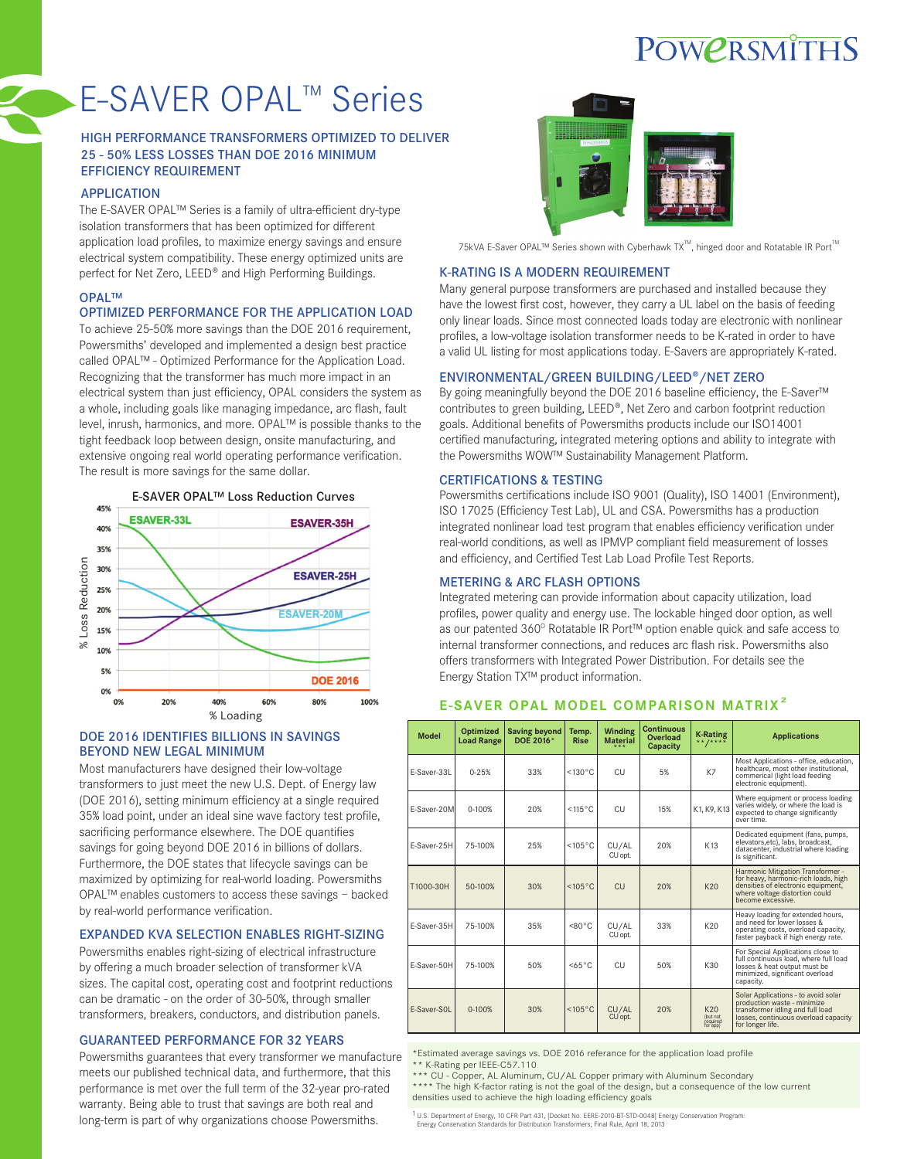## POWERSMITHS

# E-SAVER OPAL™ Series

#### HIGH PERFORMANCE TRANSFORMERS OPTIMIZED TO DELIVER 25 - 50% LESS LOSSES THAN DOE 2016 MINIMUM EFFICIENCY REQUIREMENT

#### APPLICATION

The E-SAVER OPAL™ Series is a family of ultra-efficient dry-type isolation transformers that has been optimized for different application load profiles, to maximize energy savings and ensure electrical system compatibility. These energy optimized units are perfect for Net Zero, LEED® and High Performing Buildings.

#### OPAL™

#### OPTIMIZED PERFORMANCE FOR THE APPLICATION LOAD

To achieve 25-50% more savings than the DOE 2016 requirement, Powersmiths' developed and implemented a design best practice called OPAL™ - Optimized Performance for the Application Load. Recognizing that the transformer has much more impact in an electrical system than just efficiency, OPAL considers the system as a whole, including goals like managing impedance, arc flash, fault level, inrush, harmonics, and more. OPAL™ is possible thanks to the tight feedback loop between design, onsite manufacturing, and extensive ongoing real world operating performance verification. The result is more savings for the same dollar.



#### DOE 2016 IDENTIFIES BILLIONS IN SAVINGS BEYOND NEW LEGAL MINIMUM

Most manufacturers have designed their low-voltage transformers to just meet the new U.S. Dept. of Energy law (DOE 2016), setting minimum efficiency at a single required 35% load point, under an ideal sine wave factory test profile, sacrificing performance elsewhere. The DOE quantifies savings for going beyond DOE 2016 in billions of dollars. Furthermore, the DOE states that lifecycle savings can be maximized by optimizing for real-world loading. Powersmiths OPAL™ enables customers to access these savings – backed by real-world performance verification.

#### EXPANDED KVA SELECTION ENABLES RIGHT-SIZING

Powersmiths enables right-sizing of electrical infrastructure by offering a much broader selection of transformer kVA sizes. The capital cost, operating cost and footprint reductions can be dramatic - on the order of 30-50%, through smaller transformers, breakers, conductors, and distribution panels.

### GUARANTEED PERFORMANCE FOR 32 YEARS

Powersmiths guarantees that every transformer we manufacture meets our published technical data, and furthermore, that this performance is met over the full term of the 32-year pro-rated warranty. Being able to trust that savings are both real and long-term is part of why organizations choose Powersmiths.



75kVA E-Saver OPAL™ Series shown with Cyberhawk TX™, hinged door and Rotatable IR Port<sup>™</sup>

#### K-RATING IS A MODERN REQUIREMENT

Many general purpose transformers are purchased and installed because they have the lowest first cost, however, they carry a UL label on the basis of feeding only linear loads. Since most connected loads today are electronic with nonlinear profiles, a low-voltage isolation transformer needs to be K-rated in order to have a valid UL listing for most applications today. E-Savers are appropriately K-rated.

#### ENVIRONMENTAL/GREEN BUILDING/LEED®/NET ZERO

By going meaningfully beyond the DOE 2016 baseline efficiency, the E-Saver™ contributes to green building, LEED®, Net Zero and carbon footprint reduction goals. Additional benefits of Powersmiths products include our ISO14001 certified manufacturing, integrated metering options and ability to integrate with the Powersmiths WOW™ Sustainability Management Platform.

#### CERTIFICATIONS & TESTING

Powersmiths certifications include ISO 9001 (Quality), ISO 14001 (Environment), ISO 17025 (Efficiency Test Lab), UL and CSA. Powersmiths has a production integrated nonlinear load test program that enables efficiency verification under real-world conditions, as well as IPMVP compliant field measurement of losses and efficiency, and Certified Test Lab Load Profile Test Reports.

#### METERING & ARC FLASH OPTIONS

Integrated metering can provide information about capacity utilization, load profiles, power quality and energy use. The lockable hinged door option, as well as our patented 360° Rotatable IR Port™ option enable quick and safe access to internal transformer connections, and reduces arc flash risk. Powersmiths also offers transformers with Integrated Power Distribution. For details see the Energy Station TX™ product information.

### **Model Optimized Saving beyond Temp. Winding Continuous Model Optimized Saving beyond lemp. Winding Worldoad K-Rating Applications**<br> **Load Range DOE 2016\*** Rise Material Capacity \*\*/\*\*\*\*

**E-SAVER OPAL MODEL COMPARISON MATRIX<sup>2</sup>**

|             |            |     |                  |                  | <b>Oupuony</b> |                                         |                                                                                                                                                                        |
|-------------|------------|-----|------------------|------------------|----------------|-----------------------------------------|------------------------------------------------------------------------------------------------------------------------------------------------------------------------|
| F-Saver-33L | $0 - 25%$  | 33% | $<130^{\circ}$ C | CU               | 5%             | K7                                      | Most Applications - office, education,<br>healthcare, most other institutional,<br>commerical (light load feeding<br>electronic equipment).                            |
| F-Saver-20M | $0 - 100%$ | 20% | $<115^{\circ}$ C | CU               | 15%            | K1, K9, K13                             | Where equipment or process loading<br>varies widely, or where the load is<br>expected to change significantly<br>over time.                                            |
| F-Saver-25H | 75-100%    | 25% | $<105^{\circ}$ C | CU/AL<br>CU opt. | 20%            | K13                                     | Dedicated equipment (fans, pumps,<br>elevators, etc), labs, broadcast,<br>datacenter, industrial where loading<br>is significant.                                      |
| T1000-30H   | 50-100%    | 30% | $<105^{\circ}$ C | CU               | 20%            | K20                                     | Harmonic Mitigation Transformer -<br>for heavy, harmonic-rich loads, high<br>densities of electronic equipment,<br>where voltage distortion could<br>become excessive. |
| F-Saver-35H | 75-100%    | 35% | $< 80^{\circ}$ C | CU/AL<br>CU opt. | 33%            | K20                                     | Heavy loading for extended hours,<br>and need for lower losses &<br>operating costs, overload capacity,<br>faster payback if high energy rate.                         |
| F-Saver-50H | 75-100%    | 50% | $<65^{\circ}$ C  | CU               | 50%            | K30                                     | For Special Applications close to<br>full continuous load, where full load<br>losses & heat output must be<br>minimized, significant overload<br>capacity.             |
| F-Saver-SOL | $0 - 100%$ | 30% | $<105^{\circ}$ C | CU/AL<br>CU opt. | 20%            | K20<br>(but not<br>required<br>for app) | Solar Applications - to avoid solar<br>production waste - minimize<br>transformer idling and full load<br>losses, continuous overload capacity<br>for longer life.     |

\*Estimated average savings vs. DOE 2016 referance for the application load profile \*\* K-Rating per IEEE-C57.110

\*\*\* CU - Copper, AL Aluminum, CU/AL Copper primary with Aluminum Secondary

\*\*\*\* The high K-factor rating is not the goal of the design, but a consequence of the low current densities used to achieve the high loading efficiency goals

1 U.S. Department of Energy, 10 CFR Part 431, [Docket No. EERE-2010-BT-STD-0048] Energy Conservation Program: Energy Conservation Standards for Distribution Transformers; Final Rule, April 18, 2013